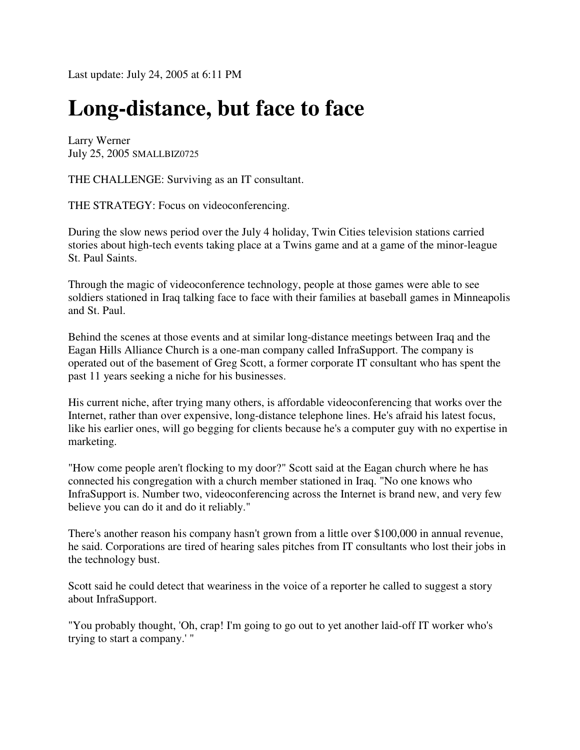Last update: July 24, 2005 at 6:11 PM

## **Long-distance, but face to face**

Larry Werner July 25, 2005 SMALLBIZ0725

THE CHALLENGE: Surviving as an IT consultant.

THE STRATEGY: Focus on videoconferencing.

During the slow news period over the July 4 holiday, Twin Cities television stations carried stories about high-tech events taking place at a Twins game and at a game of the minor-league St. Paul Saints.

Through the magic of videoconference technology, people at those games were able to see soldiers stationed in Iraq talking face to face with their families at baseball games in Minneapolis and St. Paul.

Behind the scenes at those events and at similar long-distance meetings between Iraq and the Eagan Hills Alliance Church is a one-man company called InfraSupport. The company is operated out of the basement of Greg Scott, a former corporate IT consultant who has spent the past 11 years seeking a niche for his businesses.

His current niche, after trying many others, is affordable videoconferencing that works over the Internet, rather than over expensive, long-distance telephone lines. He's afraid his latest focus, like his earlier ones, will go begging for clients because he's a computer guy with no expertise in marketing.

"How come people aren't flocking to my door?" Scott said at the Eagan church where he has connected his congregation with a church member stationed in Iraq. "No one knows who InfraSupport is. Number two, videoconferencing across the Internet is brand new, and very few believe you can do it and do it reliably."

There's another reason his company hasn't grown from a little over \$100,000 in annual revenue, he said. Corporations are tired of hearing sales pitches from IT consultants who lost their jobs in the technology bust.

Scott said he could detect that weariness in the voice of a reporter he called to suggest a story about InfraSupport.

"You probably thought, 'Oh, crap! I'm going to go out to yet another laid-off IT worker who's trying to start a company.' "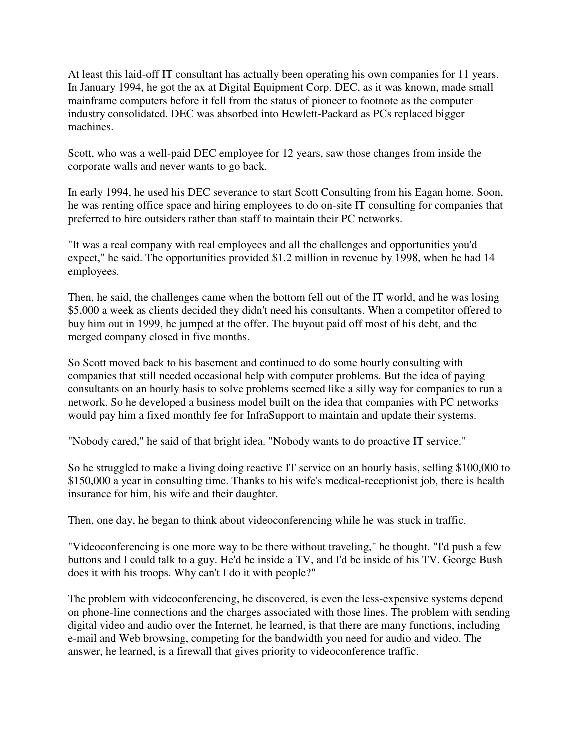At least this laid-off IT consultant has actually been operating his own companies for 11 years. In January 1994, he got the ax at Digital Equipment Corp. DEC, as it was known, made small mainframe computers before it fell from the status of pioneer to footnote as the computer industry consolidated. DEC was absorbed into Hewlett-Packard as PCs replaced bigger machines.

Scott, who was a well-paid DEC employee for 12 years, saw those changes from inside the corporate walls and never wants to go back.

In early 1994, he used his DEC severance to start Scott Consulting from his Eagan home. Soon, he was renting office space and hiring employees to do on-site IT consulting for companies that preferred to hire outsiders rather than staff to maintain their PC networks.

"It was a real company with real employees and all the challenges and opportunities you'd expect," he said. The opportunities provided \$1.2 million in revenue by 1998, when he had 14 employees.

Then, he said, the challenges came when the bottom fell out of the IT world, and he was losing \$5,000 a week as clients decided they didn't need his consultants. When a competitor offered to buy him out in 1999, he jumped at the offer. The buyout paid off most of his debt, and the merged company closed in five months.

So Scott moved back to his basement and continued to do some hourly consulting with companies that still needed occasional help with computer problems. But the idea of paying consultants on an hourly basis to solve problems seemed like a silly way for companies to run a network. So he developed a business model built on the idea that companies with PC networks would pay him a fixed monthly fee for InfraSupport to maintain and update their systems.

"Nobody cared," he said of that bright idea. "Nobody wants to do proactive IT service."

So he struggled to make a living doing reactive IT service on an hourly basis, selling \$100,000 to \$150,000 a year in consulting time. Thanks to his wife's medical-receptionist job, there is health insurance for him, his wife and their daughter.

Then, one day, he began to think about videoconferencing while he was stuck in traffic.

"Videoconferencing is one more way to be there without traveling," he thought. "I'd push a few buttons and I could talk to a guy. He'd be inside a TV, and I'd be inside of his TV. George Bush does it with his troops. Why can't I do it with people?"

The problem with videoconferencing, he discovered, is even the less-expensive systems depend on phone-line connections and the charges associated with those lines. The problem with sending digital video and audio over the Internet, he learned, is that there are many functions, including e-mail and Web browsing, competing for the bandwidth you need for audio and video. The answer, he learned, is a firewall that gives priority to videoconference traffic.